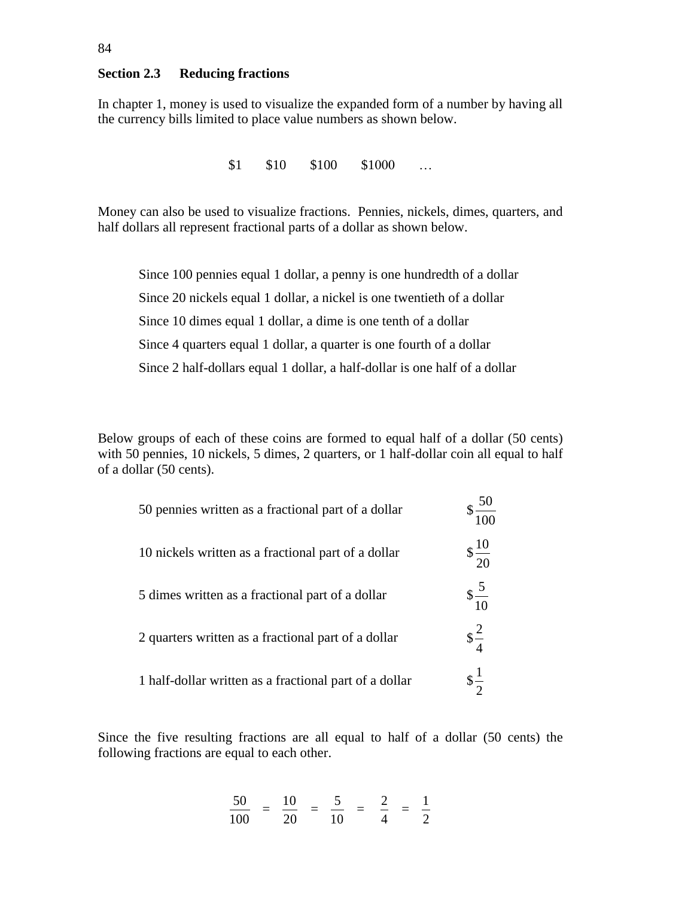## **Section 2.3 Reducing fractions**

In chapter 1, money is used to visualize the expanded form of a number by having all the currency bills limited to place value numbers as shown below.

\$1 \$10 \$100 \$1000 …

Money can also be used to visualize fractions. Pennies, nickels, dimes, quarters, and half dollars all represent fractional parts of a dollar as shown below.

Since 100 pennies equal 1 dollar, a penny is one hundredth of a dollar Since 20 nickels equal 1 dollar, a nickel is one twentieth of a dollar Since 10 dimes equal 1 dollar, a dime is one tenth of a dollar Since 4 quarters equal 1 dollar, a quarter is one fourth of a dollar Since 2 half-dollars equal 1 dollar, a half-dollar is one half of a dollar

Below groups of each of these coins are formed to equal half of a dollar (50 cents) with 50 pennies, 10 nickels, 5 dimes, 2 quarters, or 1 half-dollar coin all equal to half of a dollar (50 cents).

 $\sim$ 

| 50 pennies written as a fractional part of a dollar    | 50 <sub>1</sub><br>100 |
|--------------------------------------------------------|------------------------|
| 10 nickels written as a fractional part of a dollar    | $\frac{10}{20}$        |
| 5 dimes written as a fractional part of a dollar       | $\frac{5}{10}$         |
| 2 quarters written as a fractional part of a dollar    | $\frac{2}{4}$          |
| 1 half-dollar written as a fractional part of a dollar | $\frac{1}{2}$          |

Since the five resulting fractions are all equal to half of a dollar (50 cents) the following fractions are equal to each other.

$$
\frac{50}{100} = \frac{10}{20} = \frac{5}{10} = \frac{2}{4} = \frac{1}{2}
$$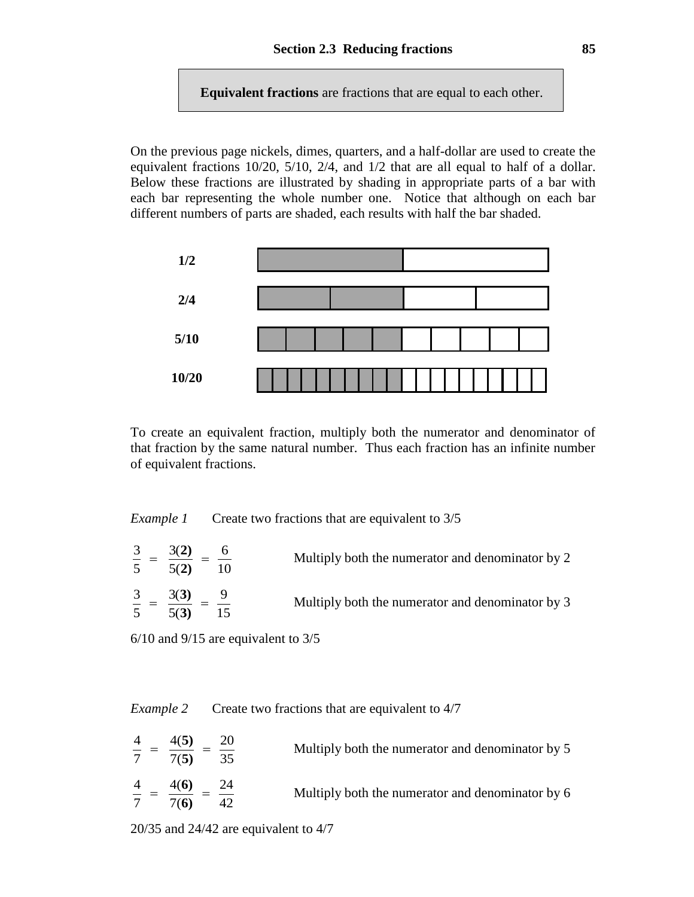**Equivalent fractions** are fractions that are equal to each other.

On the previous page nickels, dimes, quarters, and a half-dollar are used to create the equivalent fractions 10/20, 5/10, 2/4, and 1/2 that are all equal to half of a dollar. Below these fractions are illustrated by shading in appropriate parts of a bar with each bar representing the whole number one. Notice that although on each bar different numbers of parts are shaded, each results with half the bar shaded.



To create an equivalent fraction, multiply both the numerator and denominator of that fraction by the same natural number. Thus each fraction has an infinite number of equivalent fractions.

| Example 1 | Create two fractions that are equivalent to 3/5 |  |  |  |
|-----------|-------------------------------------------------|--|--|--|
|           |                                                 |  |  |  |

| $5 \t 5(2)$                                | $\frac{3(2)}{2}$ | Multiply both the numerator and denominator by 2 |
|--------------------------------------------|------------------|--------------------------------------------------|
| $\frac{3}{2} - \frac{3(3)}{2}$<br>5 $5(3)$ | 15               | Multiply both the numerator and denominator by 3 |

6/10 and 9/15 are equivalent to 3/5

*Example 2* Create two fractions that are equivalent to 4/7

| $4$ $-$<br>$7 \t 7(5)$           | 4(5) | 20<br>35 | Multiply both the numerator and denominator by 5 |
|----------------------------------|------|----------|--------------------------------------------------|
| $\frac{4}{2}$ – $\frac{4(6)}{2}$ | 7(6) | 24       | Multiply both the numerator and denominator by 6 |

20/35 and 24/42 are equivalent to 4/7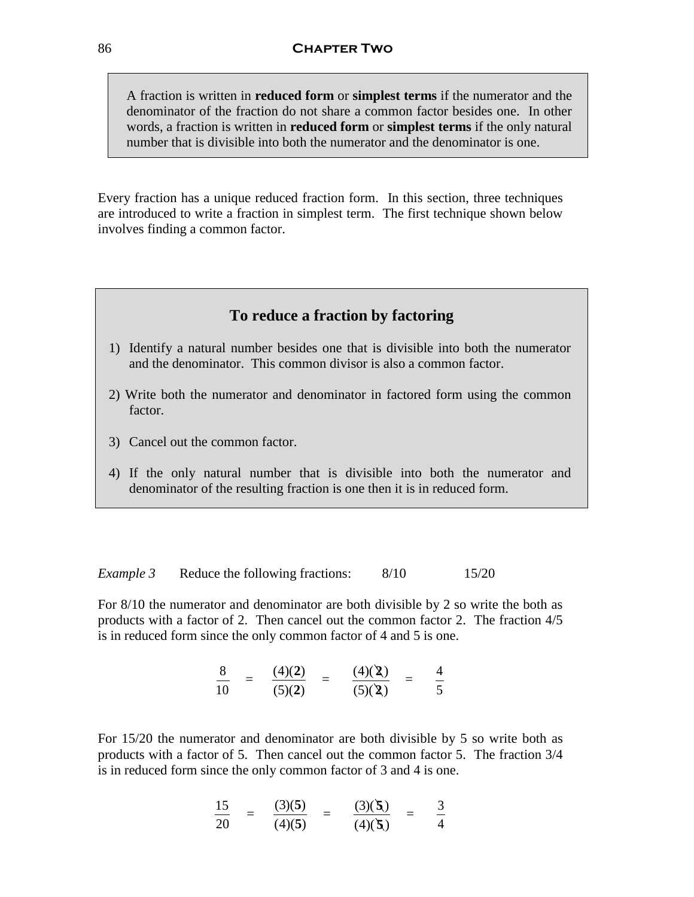A fraction is written in **reduced form** or **simplest terms** if the numerator and the denominator of the fraction do not share a common factor besides one. In other words, a fraction is written in **reduced form** or **simplest terms** if the only natural number that is divisible into both the numerator and the denominator is one.

Every fraction has a unique reduced fraction form. In this section, three techniques are introduced to write a fraction in simplest term. The first technique shown below involves finding a common factor.

## **To reduce a fraction by factoring**

- 1) Identify a natural number besides one that is divisible into both the numerator and the denominator. This common divisor is also a common factor.
- 2) Write both the numerator and denominator in factored form using the common factor.
- 3) Cancel out the common factor.
- 4) If the only natural number that is divisible into both the numerator and denominator of the resulting fraction is one then it is in reduced form.

*Example 3* Reduce the following fractions: 8/10 15/20

For 8/10 the numerator and denominator are both divisible by 2 so write the both as products with a factor of 2. Then cancel out the common factor 2. The fraction 4/5 is in reduced form since the only common factor of 4 and 5 is one.

$$
\frac{8}{10} = \frac{(4)(2)}{(5)(2)} = \frac{(4)(2)}{(5)(2)} = \frac{4}{5}
$$

For 15/20 the numerator and denominator are both divisible by 5 so write both as products with a factor of 5. Then cancel out the common factor 5. The fraction 3/4 is in reduced form since the only common factor of 3 and 4 is one.

$$
\frac{15}{20} = \frac{(3)(5)}{(4)(5)} = \frac{(3)(5)}{(4)(5)} = \frac{3}{4}
$$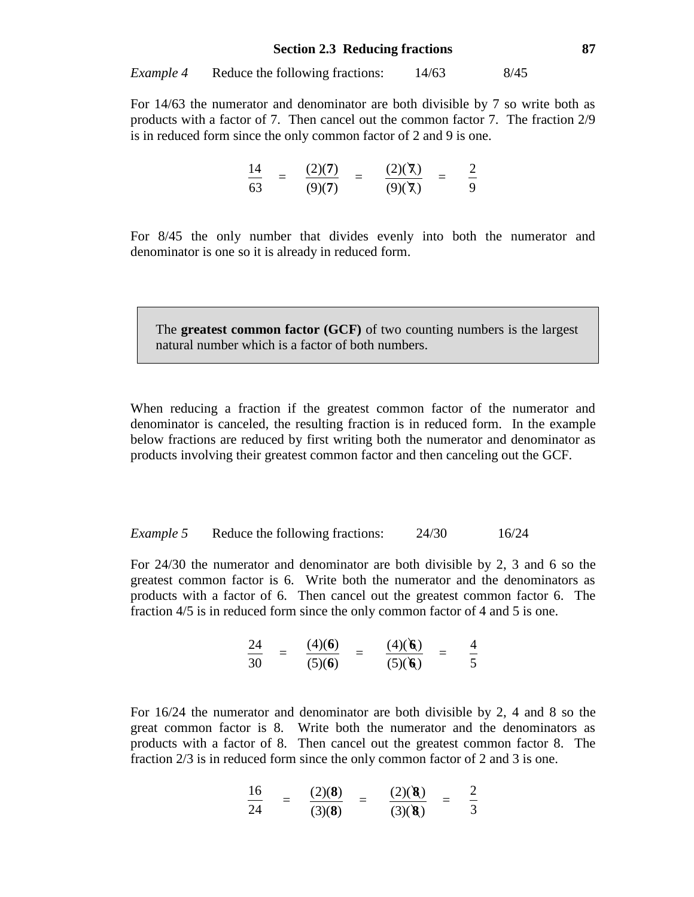For 14/63 the numerator and denominator are both divisible by 7 so write both as products with a factor of 7. Then cancel out the common factor 7. The fraction 2/9 is in reduced form since the only common factor of 2 and 9 is one.

$$
\frac{14}{63} = \frac{(2)(7)}{(9)(7)} = \frac{(2)(7)}{(9)(7)} = \frac{2}{9}
$$

For 8/45 the only number that divides evenly into both the numerator and denominator is one so it is already in reduced form.

The **greatest common factor (GCF)** of two counting numbers is the largest natural number which is a factor of both numbers.

When reducing a fraction if the greatest common factor of the numerator and denominator is canceled, the resulting fraction is in reduced form. In the example below fractions are reduced by first writing both the numerator and denominator as products involving their greatest common factor and then canceling out the GCF.

*Example 5* Reduce the following fractions: 24/30 16/24

For 24/30 the numerator and denominator are both divisible by 2, 3 and 6 so the greatest common factor is 6. Write both the numerator and the denominators as products with a factor of 6. Then cancel out the greatest common factor 6. The fraction 4/5 is in reduced form since the only common factor of 4 and 5 is one.

$$
\frac{24}{30} = \frac{(4)(6)}{(5)(6)} = \frac{(4)(6)}{(5)(6)} = \frac{4}{5}
$$

For 16/24 the numerator and denominator are both divisible by 2, 4 and 8 so the great common factor is 8. Write both the numerator and the denominators as products with a factor of 8. Then cancel out the greatest common factor 8. The fraction 2/3 is in reduced form since the only common factor of 2 and 3 is one.

$$
\frac{16}{24} = \frac{(2)(8)}{(3)(8)} = \frac{(2)(8)}{(3)(8)} = \frac{2}{3}
$$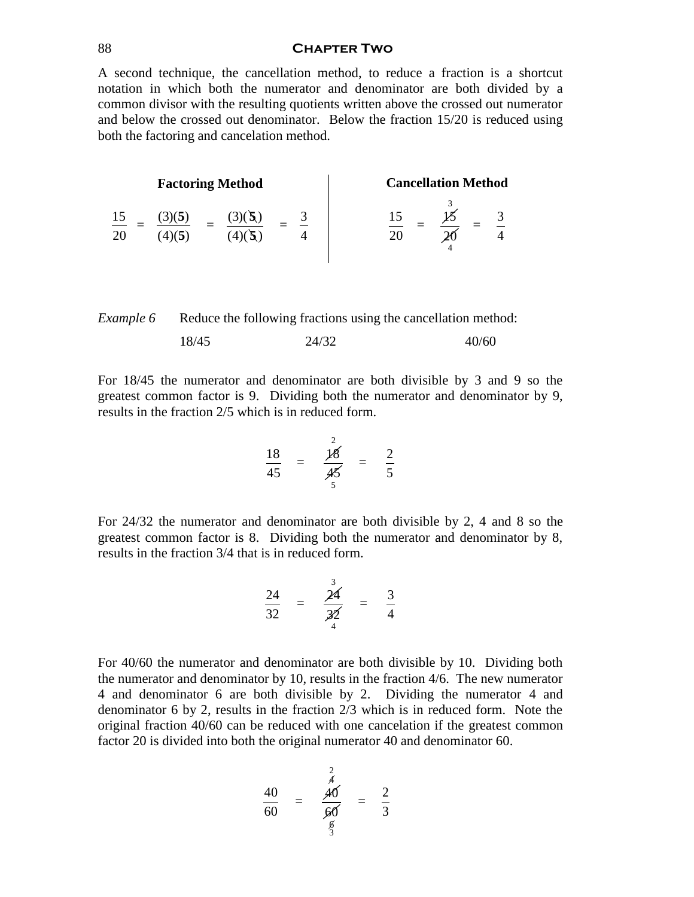#### 88 **Chapter Two**

A second technique, the cancellation method, to reduce a fraction is a shortcut notation in which both the numerator and denominator are both divided by a common divisor with the resulting quotients written above the crossed out numerator and below the crossed out denominator. Below the fraction 15/20 is reduced using both the factoring and cancelation method.

|          | <b>Factoring Method</b> |  |  | <b>Cancellation Method</b> |
|----------|-------------------------|--|--|----------------------------|
| 15<br>20 | Э                       |  |  |                            |

*Example 6* Reduce the following fractions using the cancellation method: 18/45 24/32 40/60

For 18/45 the numerator and denominator are both divisible by 3 and 9 so the greatest common factor is 9. Dividing both the numerator and denominator by 9, results in the fraction 2/5 which is in reduced form.

$$
\frac{18}{45} = \frac{\cancel{18}}{\cancel{45}} = \frac{2}{5}
$$

For 24/32 the numerator and denominator are both divisible by 2, 4 and 8 so the greatest common factor is 8. Dividing both the numerator and denominator by 8, results in the fraction 3/4 that is in reduced form.

$$
\frac{24}{32} = \frac{\stackrel{3}{24}}{\stackrel{3}{4}} = \frac{3}{4}
$$

For 40/60 the numerator and denominator are both divisible by 10. Dividing both the numerator and denominator by 10, results in the fraction 4/6. The new numerator 4 and denominator 6 are both divisible by 2. Dividing the numerator 4 and denominator 6 by 2, results in the fraction 2/3 which is in reduced form. Note the original fraction 40/60 can be reduced with one cancelation if the greatest common factor 20 is divided into both the original numerator 40 and denominator 60.

$$
\frac{40}{60} = \frac{\stackrel{?}{40}}{\stackrel{40}{\cancel{60}}}= \frac{2}{3}
$$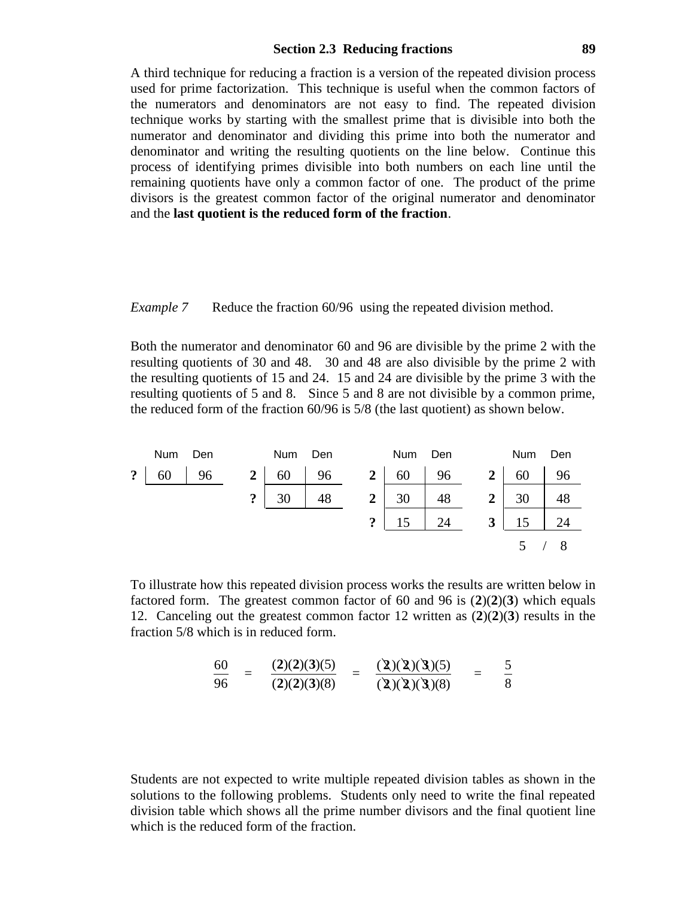#### **Section 2.3 Reducing fractions 89**

A third technique for reducing a fraction is a version of the repeated division process used for prime factorization. This technique is useful when the common factors of the numerators and denominators are not easy to find. The repeated division technique works by starting with the smallest prime that is divisible into both the numerator and denominator and dividing this prime into both the numerator and denominator and writing the resulting quotients on the line below. Continue this process of identifying primes divisible into both numbers on each line until the remaining quotients have only a common factor of one. The product of the prime divisors is the greatest common factor of the original numerator and denominator and the **last quotient is the reduced form of the fraction**.

*Example* 7 Reduce the fraction 60/96 using the repeated division method.

Both the numerator and denominator 60 and 96 are divisible by the prime 2 with the resulting quotients of 30 and 48. 30 and 48 are also divisible by the prime 2 with the resulting quotients of 15 and 24. 15 and 24 are divisible by the prime 3 with the resulting quotients of 5 and 8. Since 5 and 8 are not divisible by a common prime, the reduced form of the fraction 60/96 is 5/8 (the last quotient) as shown below.



To illustrate how this repeated division process works the results are written below in factored form. The greatest common factor of 60 and 96 is (**2**)(**2**)(**3**) which equals 12. Canceling out the greatest common factor 12 written as (**2**)(**2**)(**3**) results in the fraction 5/8 which is in reduced form.

$$
\frac{60}{96} = \frac{(2)(2)(3)(5)}{(2)(2)(3)(8)} = \frac{(2)(2)(3)(3)(5)}{(2)(2)(3)(8)} = \frac{5}{8}
$$

Students are not expected to write multiple repeated division tables as shown in the solutions to the following problems. Students only need to write the final repeated division table which shows all the prime number divisors and the final quotient line which is the reduced form of the fraction.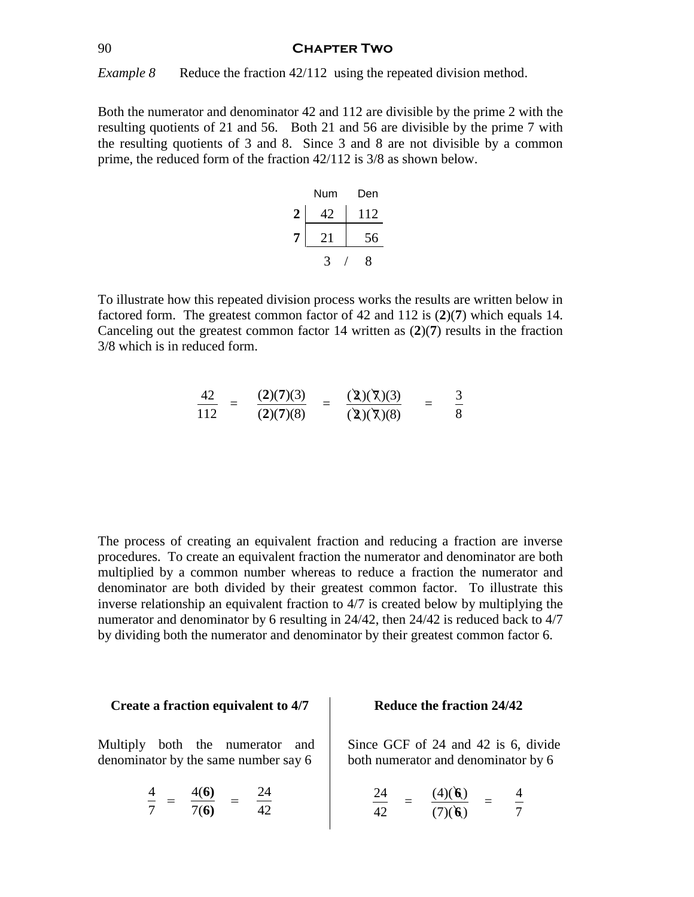*Example 8* Reduce the fraction 42/112 using the repeated division method.

Both the numerator and denominator 42 and 112 are divisible by the prime 2 with the resulting quotients of 21 and 56. Both 21 and 56 are divisible by the prime 7 with the resulting quotients of 3 and 8. Since 3 and 8 are not divisible by a common prime, the reduced form of the fraction 42/112 is 3/8 as shown below.

|                  | Num | Den |
|------------------|-----|-----|
| $\boldsymbol{2}$ |     | 112 |
| 7                | 21  | 56  |
|                  |     | 8   |

To illustrate how this repeated division process works the results are written below in factored form. The greatest common factor of 42 and 112 is (**2**)(**7**) which equals 14. Canceling out the greatest common factor 14 written as (**2**)(**7**) results in the fraction 3/8 which is in reduced form.

$$
\frac{42}{112} = \frac{(2)(7)(3)}{(2)(7)(8)} = \frac{(2)(7)(3)}{(2)(7)(8)} = \frac{3}{8}
$$

The process of creating an equivalent fraction and reducing a fraction are inverse procedures. To create an equivalent fraction the numerator and denominator are both multiplied by a common number whereas to reduce a fraction the numerator and denominator are both divided by their greatest common factor. To illustrate this inverse relationship an equivalent fraction to 4/7 is created below by multiplying the numerator and denominator by 6 resulting in 24/42, then 24/42 is reduced back to 4/7 by dividing both the numerator and denominator by their greatest common factor 6.

#### **Create a fraction equivalent to 4/7**

Multiply both the numerator and denominator by the same number say 6

$$
\frac{4}{7} = \frac{4(6)}{7(6)} = \frac{24}{42}
$$

### **Reduce the fraction 24/42**

Since GCF of 24 and 42 is 6, divide both numerator and denominator by 6

$$
\frac{24}{42} = \frac{(4)(6)}{(7)(6)} = \frac{4}{7}
$$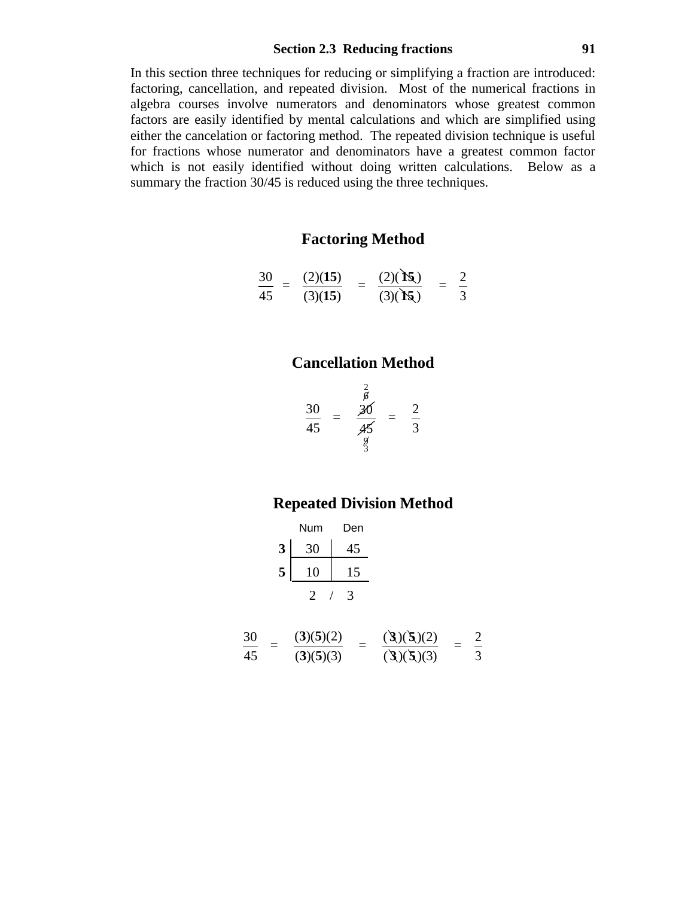### **Section 2.3 Reducing fractions 91**

In this section three techniques for reducing or simplifying a fraction are introduced: factoring, cancellation, and repeated division. Most of the numerical fractions in algebra courses involve numerators and denominators whose greatest common factors are easily identified by mental calculations and which are simplified using either the cancelation or factoring method. The repeated division technique is useful for fractions whose numerator and denominators have a greatest common factor which is not easily identified without doing written calculations. Below as a summary the fraction 30/45 is reduced using the three techniques.

# **Factoring Method**

$$
\frac{30}{45} = \frac{(2)(15)}{(3)(15)} = \frac{(2)(15)}{(3)(15)} = \frac{2}{3}
$$

## **Cancellation Method**

$$
\frac{30}{45} = \frac{\frac{2}{6}}{\frac{45}{9}} = \frac{2}{3}
$$

## **Repeated Division Method**

|   | Num      | Den |
|---|----------|-----|
| 3 | 30       | 45  |
| 5 | $\theta$ | .5  |
|   | ')       |     |

$$
\frac{30}{45} = \frac{(3)(5)(2)}{(3)(5)(3)} = \frac{(3)(5)(2)}{(3)(5)(3)} = \frac{2}{3}
$$